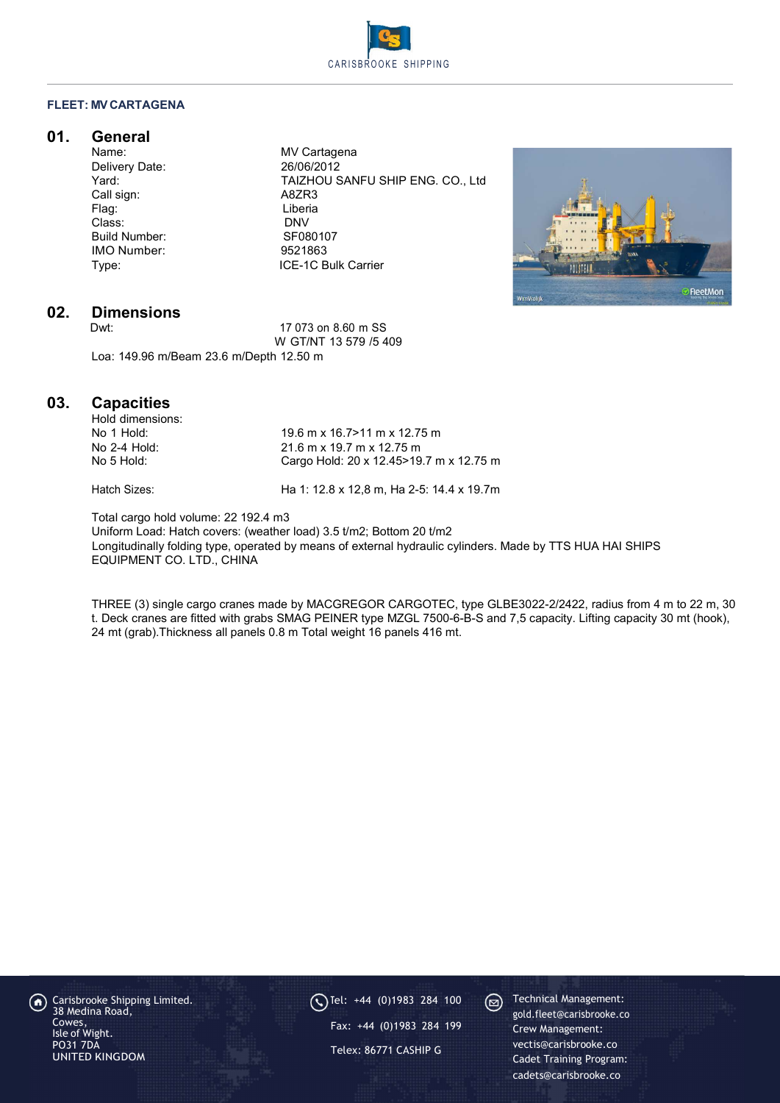

#### FLEET: MV CARTAGENA

## 01. General

Delivery Date:<br>Yard: Call sign: A8ZR3 Flag: Liberia Class: DNV<br>
Build Number: Case Contract SE080107 Build Number: IMO Number: 9521863<br>Type: ICE-1C B

MV Cartagena<br>26/06/2012 TAIZHOU SANFU SHIP ENG. CO., Ltd ICE-1C Bulk Carrier



# 02. Dimensions

17 073 on 8.60 m SS W GT/NT 13 579 /5 409 Loa: 149.96 m/Beam 23.6 m/Depth 12.50 m

### 03. Capacities

| Hold dimensions: |                                           |
|------------------|-------------------------------------------|
| No 1 Hold:       | $19.6$ m x 16.7>11 m x 12.75 m            |
| No 2-4 Hold:     | $21.6$ m x 19.7 m x 12.75 m               |
| No 5 Hold:       | Cargo Hold: 20 x 12.45 > 19.7 m x 12.75 m |
|                  |                                           |

Hatch Sizes: Ha 1: 12.8 x 12,8 m, Ha 2-5: 14.4 x 19.7m

Total cargo hold volume: 22 192.4 m3

Uniform Load: Hatch covers: (weather load) 3.5 t/m2; Bottom 20 t/m2 Longitudinally folding type, operated by means of external hydraulic cylinders. Made by TTS HUA HAI SHIPS EQUIPMENT CO. LTD., CHINA

THREE (3) single cargo cranes made by MACGREGOR CARGOTEC, type GLBE3022-2/2422, radius from 4 m to 22 m, 30 t. Deck cranes are fitted with grabs SMAG PEINER type MZGL 7500-6-B-S and 7,5 capacity. Lifting capacity 30 mt (hook), 24 mt (grab).Thickness all panels 0.8 m Total weight 16 panels 416 mt.

Carisbrooke Shipping Limited. 38 Medina Road, Cowes, Isle of Wight. PO31 7DA UNITED KINGDOM

 $\bigodot$  Tel: +44 (0)1983 284 100  $\bigodot$ Fax: +44 (0)1983 284 199 Telex: 86771 CASHIP G

Technical Management: gold.fleet@carisbrooke.co Crew Management: vectis@carisbrooke.co Cadet Training Program: cadets@carisbrooke.co